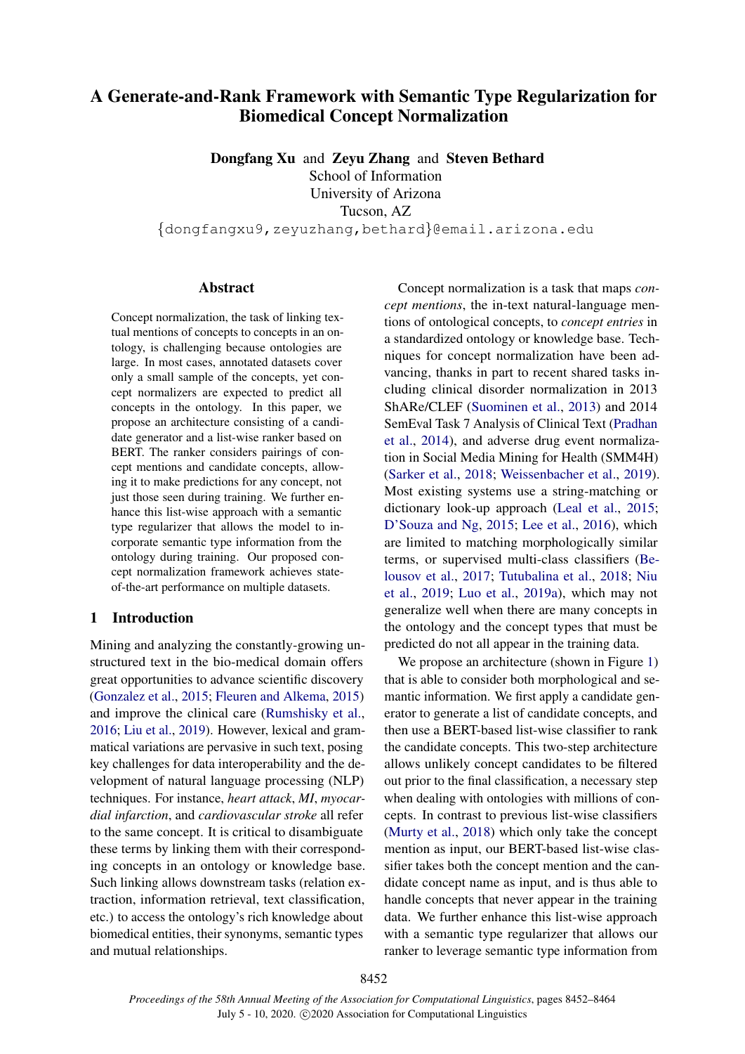# A Generate-and-Rank Framework with Semantic Type Regularization for Biomedical Concept Normalization

Dongfang Xu and Zeyu Zhang and Steven Bethard

School of Information

University of Arizona

Tucson, AZ

{dongfangxu9,zeyuzhang,bethard}@email.arizona.edu

# Abstract

Concept normalization, the task of linking textual mentions of concepts to concepts in an ontology, is challenging because ontologies are large. In most cases, annotated datasets cover only a small sample of the concepts, yet concept normalizers are expected to predict all concepts in the ontology. In this paper, we propose an architecture consisting of a candidate generator and a list-wise ranker based on BERT. The ranker considers pairings of concept mentions and candidate concepts, allowing it to make predictions for any concept, not just those seen during training. We further enhance this list-wise approach with a semantic type regularizer that allows the model to incorporate semantic type information from the ontology during training. Our proposed concept normalization framework achieves stateof-the-art performance on multiple datasets.

## 1 Introduction

Mining and analyzing the constantly-growing unstructured text in the bio-medical domain offers great opportunities to advance scientific discovery [\(Gonzalez et al.,](#page-9-0) [2015;](#page-9-0) [Fleuren and Alkema,](#page-9-1) [2015\)](#page-9-1) and improve the clinical care [\(Rumshisky et al.,](#page-10-0) [2016;](#page-10-0) [Liu et al.,](#page-9-2) [2019\)](#page-9-2). However, lexical and grammatical variations are pervasive in such text, posing key challenges for data interoperability and the development of natural language processing (NLP) techniques. For instance, *heart attack*, *MI*, *myocardial infarction*, and *cardiovascular stroke* all refer to the same concept. It is critical to disambiguate these terms by linking them with their corresponding concepts in an ontology or knowledge base. Such linking allows downstream tasks (relation extraction, information retrieval, text classification, etc.) to access the ontology's rich knowledge about biomedical entities, their synonyms, semantic types and mutual relationships.

Concept normalization is a task that maps *concept mentions*, the in-text natural-language mentions of ontological concepts, to *concept entries* in a standardized ontology or knowledge base. Techniques for concept normalization have been advancing, thanks in part to recent shared tasks including clinical disorder normalization in 2013 ShARe/CLEF [\(Suominen et al.,](#page-10-1) [2013\)](#page-10-1) and 2014 SemEval Task 7 Analysis of Clinical Text [\(Pradhan](#page-10-2) [et al.,](#page-10-2) [2014\)](#page-10-2), and adverse drug event normalization in Social Media Mining for Health (SMM4H) [\(Sarker et al.,](#page-10-3) [2018;](#page-10-3) [Weissenbacher et al.,](#page-10-4) [2019\)](#page-10-4). Most existing systems use a string-matching or dictionary look-up approach [\(Leal et al.,](#page-9-3) [2015;](#page-9-3) [D'Souza and Ng,](#page-8-0) [2015;](#page-8-0) [Lee et al.,](#page-9-4) [2016\)](#page-9-4), which are limited to matching morphologically similar terms, or supervised multi-class classifiers [\(Be](#page-8-1)[lousov et al.,](#page-8-1) [2017;](#page-8-1) [Tutubalina et al.,](#page-10-5) [2018;](#page-10-5) [Niu](#page-10-6) [et al.,](#page-10-6) [2019;](#page-10-6) [Luo et al.,](#page-9-5) [2019a\)](#page-9-5), which may not generalize well when there are many concepts in the ontology and the concept types that must be predicted do not all appear in the training data.

We propose an architecture (shown in Figure [1\)](#page-1-0) that is able to consider both morphological and semantic information. We first apply a candidate generator to generate a list of candidate concepts, and then use a BERT-based list-wise classifier to rank the candidate concepts. This two-step architecture allows unlikely concept candidates to be filtered out prior to the final classification, a necessary step when dealing with ontologies with millions of concepts. In contrast to previous list-wise classifiers [\(Murty et al.,](#page-9-6) [2018\)](#page-9-6) which only take the concept mention as input, our BERT-based list-wise classifier takes both the concept mention and the candidate concept name as input, and is thus able to handle concepts that never appear in the training data. We further enhance this list-wise approach with a semantic type regularizer that allows our ranker to leverage semantic type information from

8452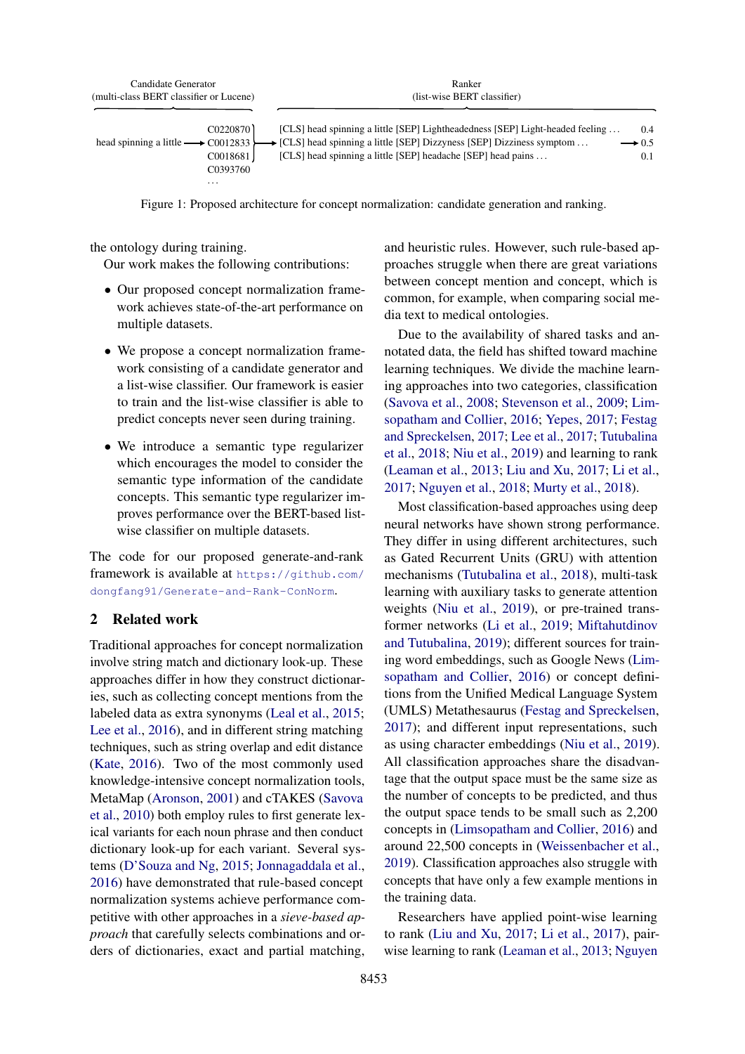<span id="page-1-0"></span>

| Candidate Generator                               | Ranker                                                                             |                   |  |  |
|---------------------------------------------------|------------------------------------------------------------------------------------|-------------------|--|--|
| (multi-class BERT classifier or Lucene)           | (list-wise BERT classifier)                                                        |                   |  |  |
|                                                   |                                                                                    |                   |  |  |
| C <sub>0220870</sub>                              | [CLS] head spinning a little [SEP] Lightheadedness [SEP] Light-headed feeling      | 0.4               |  |  |
| head spinning a little $\longrightarrow$ C0012833 | $\rightarrow$ [CLS] head spinning a little [SEP] Dizzyness [SEP] Dizziness symptom | $\rightarrow 0.5$ |  |  |
| C0018681                                          | [CLS] head spinning a little [SEP] headache [SEP] head pains                       | 0.1               |  |  |
| C <sub>0</sub> 393760                             |                                                                                    |                   |  |  |
| $\cdot$                                           |                                                                                    |                   |  |  |

Figure 1: Proposed architecture for concept normalization: candidate generation and ranking.

the ontology during training.

Our work makes the following contributions:

- Our proposed concept normalization framework achieves state-of-the-art performance on multiple datasets.
- We propose a concept normalization framework consisting of a candidate generator and a list-wise classifier. Our framework is easier to train and the list-wise classifier is able to predict concepts never seen during training.
- We introduce a semantic type regularizer which encourages the model to consider the semantic type information of the candidate concepts. This semantic type regularizer improves performance over the BERT-based listwise classifier on multiple datasets.

The code for our proposed generate-and-rank framework is available at [https://github.com/](https://github.com/dongfang91/Generate-and-Rank-ConNorm) [dongfang91/Generate-and-Rank-ConNorm](https://github.com/dongfang91/Generate-and-Rank-ConNorm).

# 2 Related work

Traditional approaches for concept normalization involve string match and dictionary look-up. These approaches differ in how they construct dictionaries, such as collecting concept mentions from the labeled data as extra synonyms [\(Leal et al.,](#page-9-3) [2015;](#page-9-3) [Lee et al.,](#page-9-4) [2016\)](#page-9-4), and in different string matching techniques, such as string overlap and edit distance [\(Kate,](#page-9-7) [2016\)](#page-9-7). Two of the most commonly used knowledge-intensive concept normalization tools, MetaMap [\(Aronson,](#page-8-2) [2001\)](#page-8-2) and cTAKES [\(Savova](#page-10-7) [et al.,](#page-10-7) [2010\)](#page-10-7) both employ rules to first generate lexical variants for each noun phrase and then conduct dictionary look-up for each variant. Several systems [\(D'Souza and Ng,](#page-8-0) [2015;](#page-8-0) [Jonnagaddala et al.,](#page-9-8) [2016\)](#page-9-8) have demonstrated that rule-based concept normalization systems achieve performance competitive with other approaches in a *sieve-based approach* that carefully selects combinations and orders of dictionaries, exact and partial matching, and heuristic rules. However, such rule-based approaches struggle when there are great variations between concept mention and concept, which is common, for example, when comparing social media text to medical ontologies.

Due to the availability of shared tasks and annotated data, the field has shifted toward machine learning techniques. We divide the machine learning approaches into two categories, classification [\(Savova et al.,](#page-10-8) [2008;](#page-10-8) [Stevenson et al.,](#page-10-9) [2009;](#page-10-9) [Lim](#page-9-9)[sopatham and Collier,](#page-9-9) [2016;](#page-9-9) [Yepes,](#page-10-10) [2017;](#page-10-10) [Festag](#page-9-10) [and Spreckelsen,](#page-9-10) [2017;](#page-9-10) [Lee et al.,](#page-9-11) [2017;](#page-9-11) [Tutubalina](#page-10-5) [et al.,](#page-10-5) [2018;](#page-10-5) [Niu et al.,](#page-10-6) [2019\)](#page-10-6) and learning to rank [\(Leaman et al.,](#page-9-12) [2013;](#page-9-12) [Liu and Xu,](#page-9-13) [2017;](#page-9-13) [Li et al.,](#page-9-14) [2017;](#page-9-14) [Nguyen et al.,](#page-9-15) [2018;](#page-9-15) [Murty et al.,](#page-9-6) [2018\)](#page-9-6).

Most classification-based approaches using deep neural networks have shown strong performance. They differ in using different architectures, such as Gated Recurrent Units (GRU) with attention mechanisms [\(Tutubalina et al.,](#page-10-5) [2018\)](#page-10-5), multi-task learning with auxiliary tasks to generate attention weights [\(Niu et al.,](#page-10-6) [2019\)](#page-10-6), or pre-trained transformer networks [\(Li et al.,](#page-9-16) [2019;](#page-9-16) [Miftahutdinov](#page-9-17) [and Tutubalina,](#page-9-17) [2019\)](#page-9-17); different sources for training word embeddings, such as Google News [\(Lim](#page-9-9)[sopatham and Collier,](#page-9-9) [2016\)](#page-9-9) or concept definitions from the Unified Medical Language System (UMLS) Metathesaurus [\(Festag and Spreckelsen,](#page-9-10) [2017\)](#page-9-10); and different input representations, such as using character embeddings [\(Niu et al.,](#page-10-6) [2019\)](#page-10-6). All classification approaches share the disadvantage that the output space must be the same size as the number of concepts to be predicted, and thus the output space tends to be small such as 2,200 concepts in [\(Limsopatham and Collier,](#page-9-9) [2016\)](#page-9-9) and around 22,500 concepts in [\(Weissenbacher et al.,](#page-10-4) [2019\)](#page-10-4). Classification approaches also struggle with concepts that have only a few example mentions in the training data.

Researchers have applied point-wise learning to rank [\(Liu and Xu,](#page-9-13) [2017;](#page-9-13) [Li et al.,](#page-9-14) [2017\)](#page-9-14), pairwise learning to rank [\(Leaman et al.,](#page-9-12) [2013;](#page-9-12) [Nguyen](#page-9-15)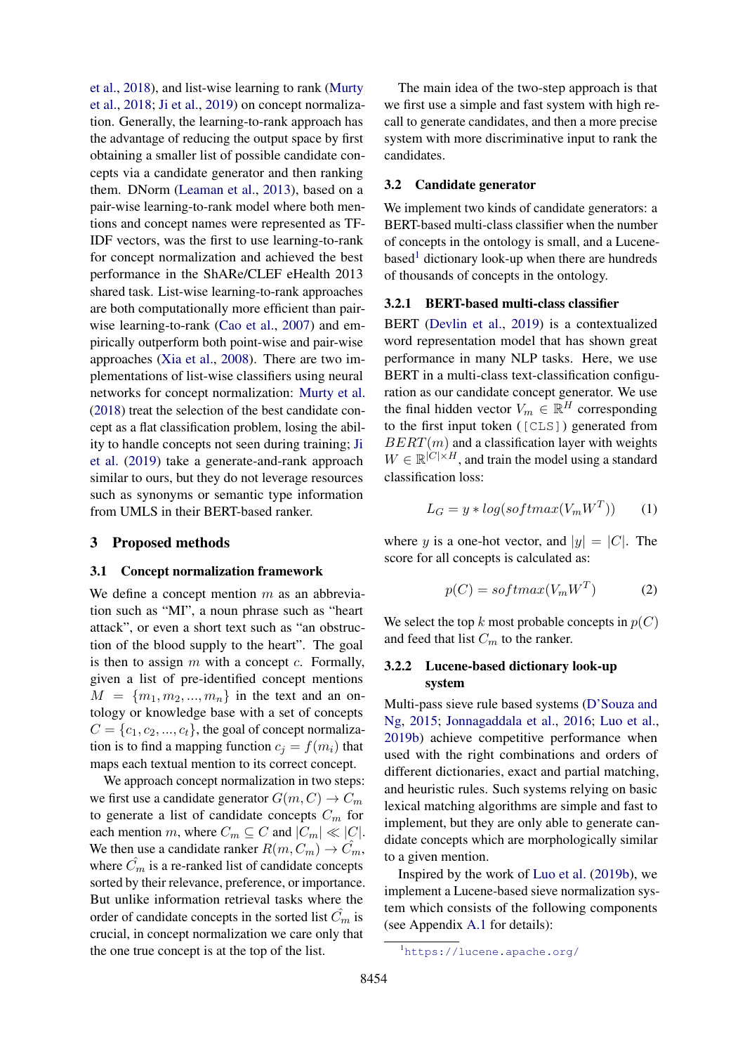[et al.,](#page-9-15) [2018\)](#page-9-15), and list-wise learning to rank [\(Murty](#page-9-6) [et al.,](#page-9-6) [2018;](#page-9-6) [Ji et al.,](#page-9-18) [2019\)](#page-9-18) on concept normalization. Generally, the learning-to-rank approach has the advantage of reducing the output space by first obtaining a smaller list of possible candidate concepts via a candidate generator and then ranking them. DNorm [\(Leaman et al.,](#page-9-12) [2013\)](#page-9-12), based on a pair-wise learning-to-rank model where both mentions and concept names were represented as TF-IDF vectors, was the first to use learning-to-rank for concept normalization and achieved the best performance in the ShARe/CLEF eHealth 2013 shared task. List-wise learning-to-rank approaches are both computationally more efficient than pairwise learning-to-rank [\(Cao et al.,](#page-8-3) [2007\)](#page-8-3) and empirically outperform both point-wise and pair-wise approaches [\(Xia et al.,](#page-10-11) [2008\)](#page-10-11). There are two implementations of list-wise classifiers using neural networks for concept normalization: [Murty et al.](#page-9-6) [\(2018\)](#page-9-6) treat the selection of the best candidate concept as a flat classification problem, losing the ability to handle concepts not seen during training; [Ji](#page-9-18) [et al.](#page-9-18) [\(2019\)](#page-9-18) take a generate-and-rank approach similar to ours, but they do not leverage resources such as synonyms or semantic type information from UMLS in their BERT-based ranker.

#### 3 Proposed methods

#### 3.1 Concept normalization framework

We define a concept mention  $m$  as an abbreviation such as "MI", a noun phrase such as "heart attack", or even a short text such as "an obstruction of the blood supply to the heart". The goal is then to assign  $m$  with a concept  $c$ . Formally, given a list of pre-identified concept mentions  $M = \{m_1, m_2, ..., m_n\}$  in the text and an ontology or knowledge base with a set of concepts  $C = \{c_1, c_2, ..., c_t\}$ , the goal of concept normalization is to find a mapping function  $c_i = f(m_i)$  that maps each textual mention to its correct concept.

We approach concept normalization in two steps: we first use a candidate generator  $G(m, C) \rightarrow C_m$ to generate a list of candidate concepts  $C_m$  for each mention m, where  $C_m \subseteq C$  and  $|C_m| \ll |C|$ . We then use a candidate ranker  $R(m, C_m) \rightarrow C_m$ , where  $\hat{C}_m$  is a re-ranked list of candidate concepts sorted by their relevance, preference, or importance. But unlike information retrieval tasks where the order of candidate concepts in the sorted list  $C_m$  is crucial, in concept normalization we care only that the one true concept is at the top of the list.

The main idea of the two-step approach is that we first use a simple and fast system with high recall to generate candidates, and then a more precise system with more discriminative input to rank the candidates.

#### 3.2 Candidate generator

We implement two kinds of candidate generators: a BERT-based multi-class classifier when the number of concepts in the ontology is small, and a Lucene-based<sup>[1](#page-2-0)</sup> dictionary look-up when there are hundreds of thousands of concepts in the ontology.

#### 3.2.1 BERT-based multi-class classifier

BERT [\(Devlin et al.,](#page-8-4) [2019\)](#page-8-4) is a contextualized word representation model that has shown great performance in many NLP tasks. Here, we use BERT in a multi-class text-classification configuration as our candidate concept generator. We use the final hidden vector  $V_m \in \mathbb{R}^H$  corresponding to the first input token ([CLS]) generated from  $BERT(m)$  and a classification layer with weights  $W \in \mathbb{R}^{|C| \times H}$ , and train the model using a standard classification loss:

$$
L_G = y * log(softmax(V_m W^T))
$$
 (1)

where y is a one-hot vector, and  $|y| = |C|$ . The score for all concepts is calculated as:

$$
p(C) = softmax(V_m W^T)
$$
 (2)

We select the top k most probable concepts in  $p(C)$ and feed that list  $C_m$  to the ranker.

# 3.2.2 Lucene-based dictionary look-up system

Multi-pass sieve rule based systems [\(D'Souza and](#page-8-0) [Ng,](#page-8-0) [2015;](#page-8-0) [Jonnagaddala et al.,](#page-9-8) [2016;](#page-9-8) [Luo et al.,](#page-9-19) [2019b\)](#page-9-19) achieve competitive performance when used with the right combinations and orders of different dictionaries, exact and partial matching, and heuristic rules. Such systems relying on basic lexical matching algorithms are simple and fast to implement, but they are only able to generate candidate concepts which are morphologically similar to a given mention.

Inspired by the work of [Luo et al.](#page-9-19) [\(2019b\)](#page-9-19), we implement a Lucene-based sieve normalization system which consists of the following components (see Appendix [A.1](#page-11-0) for details):

<span id="page-2-0"></span><sup>1</sup><https://lucene.apache.org/>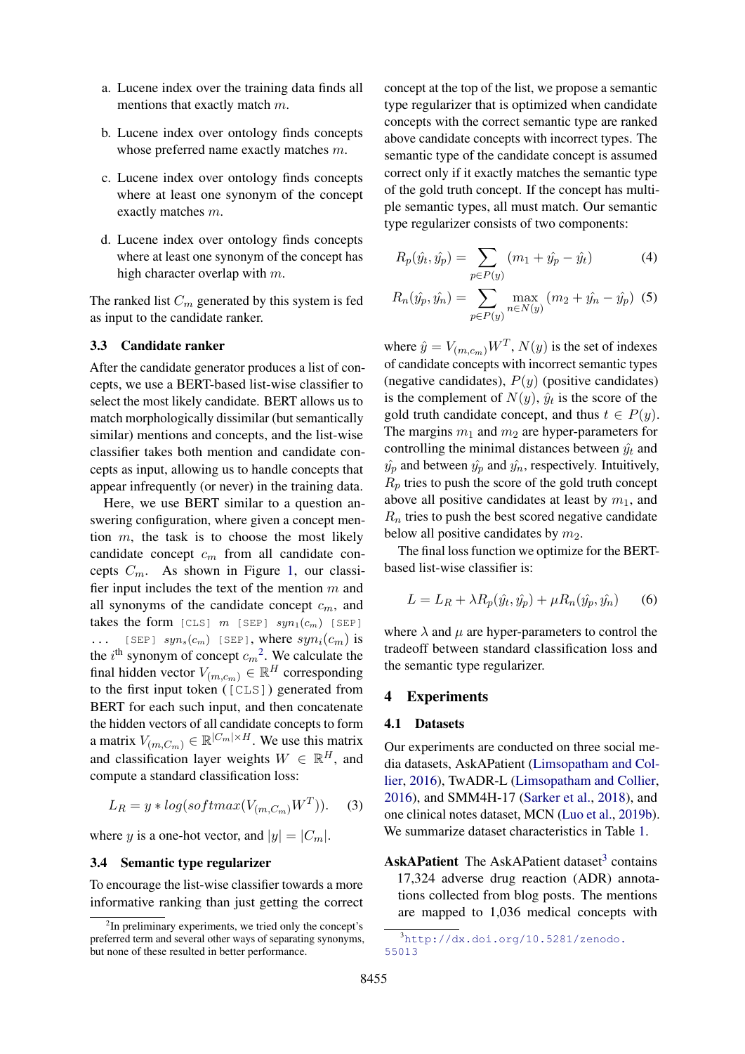- a. Lucene index over the training data finds all mentions that exactly match m.
- b. Lucene index over ontology finds concepts whose preferred name exactly matches m.
- c. Lucene index over ontology finds concepts where at least one synonym of the concept exactly matches m.
- <span id="page-3-2"></span>d. Lucene index over ontology finds concepts where at least one synonym of the concept has high character overlap with m.

The ranked list  $C_m$  generated by this system is fed as input to the candidate ranker.

#### 3.3 Candidate ranker

After the candidate generator produces a list of concepts, we use a BERT-based list-wise classifier to select the most likely candidate. BERT allows us to match morphologically dissimilar (but semantically similar) mentions and concepts, and the list-wise classifier takes both mention and candidate concepts as input, allowing us to handle concepts that appear infrequently (or never) in the training data.

Here, we use BERT similar to a question answering configuration, where given a concept mention  $m$ , the task is to choose the most likely candidate concept  $c_m$  from all candidate concepts  $C_m$ . As shown in Figure [1,](#page-1-0) our classifier input includes the text of the mention  $m$  and all synonyms of the candidate concept  $c_m$ , and takes the form  $[CLS]$  m  $[SEP]$   $syn_1(c_m)$   $[SEP]$ ... [SEP]  $syn_s(c_m)$  [SEP], where  $syn_i(c_m)$  is the  $i^{\text{th}}$  synonym of concept  $c_m^2$  $c_m^2$ . We calculate the final hidden vector  $V_{(m,c_m)} \in \mathbb{R}^H$  corresponding to the first input token ([CLS]) generated from BERT for each such input, and then concatenate the hidden vectors of all candidate concepts to form a matrix  $V_{(m,C_m)} \in \mathbb{R}^{|C_m| \times H}$ . We use this matrix and classification layer weights  $W \in \mathbb{R}^H$ , and compute a standard classification loss:

$$
L_R = y * log(softmax(V_{(m,C_m)}W^T)).
$$
 (3)

where y is a one-hot vector, and  $|y| = |C_m|$ .

## 3.4 Semantic type regularizer

To encourage the list-wise classifier towards a more informative ranking than just getting the correct concept at the top of the list, we propose a semantic type regularizer that is optimized when candidate concepts with the correct semantic type are ranked above candidate concepts with incorrect types. The semantic type of the candidate concept is assumed correct only if it exactly matches the semantic type of the gold truth concept. If the concept has multiple semantic types, all must match. Our semantic type regularizer consists of two components:

$$
R_p(\hat{y}_t, \hat{y}_p) = \sum_{p \in P(y)} (m_1 + \hat{y}_p - \hat{y}_t)
$$
 (4)

$$
R_n(\hat{y}_p, \hat{y}_n) = \sum_{p \in P(y)} \max_{n \in N(y)} (m_2 + \hat{y}_n - \hat{y}_p) \tag{5}
$$

where  $\hat{y} = V_{(m,c_m)} W^T$ ,  $N(y)$  is the set of indexes of candidate concepts with incorrect semantic types (negative candidates),  $P(y)$  (positive candidates) is the complement of  $N(y)$ ,  $\hat{y}_t$  is the score of the gold truth candidate concept, and thus  $t \in P(y)$ . The margins  $m_1$  and  $m_2$  are hyper-parameters for controlling the minimal distances between  $\hat{y}_t$  and  $\hat{y}_p$  and between  $\hat{y}_p$  and  $\hat{y}_n$ , respectively. Intuitively,  $R_p$  tries to push the score of the gold truth concept above all positive candidates at least by  $m_1$ , and  $R_n$  tries to push the best scored negative candidate below all positive candidates by  $m_2$ .

The final loss function we optimize for the BERTbased list-wise classifier is:

$$
L = L_R + \lambda R_p(\hat{y}_t, \hat{y}_p) + \mu R_n(\hat{y}_p, \hat{y}_n)
$$
 (6)

where  $\lambda$  and  $\mu$  are hyper-parameters to control the tradeoff between standard classification loss and the semantic type regularizer.

#### 4 Experiments

### 4.1 Datasets

Our experiments are conducted on three social media datasets, AskAPatient [\(Limsopatham and Col](#page-9-9)[lier,](#page-9-9) [2016\)](#page-9-9), TwADR-L [\(Limsopatham and Collier,](#page-9-9) [2016\)](#page-9-9), and SMM4H-17 [\(Sarker et al.,](#page-10-3) [2018\)](#page-10-3), and one clinical notes dataset, MCN [\(Luo et al.,](#page-9-19) [2019b\)](#page-9-19). We summarize dataset characteristics in Table [1.](#page-4-0)

AskAPatient The AskAPatient dataset<sup>[3](#page-3-1)</sup> contains 17,324 adverse drug reaction (ADR) annotations collected from blog posts. The mentions are mapped to 1,036 medical concepts with

<span id="page-3-0"></span><sup>&</sup>lt;sup>2</sup>In preliminary experiments, we tried only the concept's preferred term and several other ways of separating synonyms, but none of these resulted in better performance.

<span id="page-3-1"></span><sup>3</sup>[http://dx.doi.org/10.5281/zenodo.](http://dx.doi.org/10.5281/zenodo.55013) [55013](http://dx.doi.org/10.5281/zenodo.55013)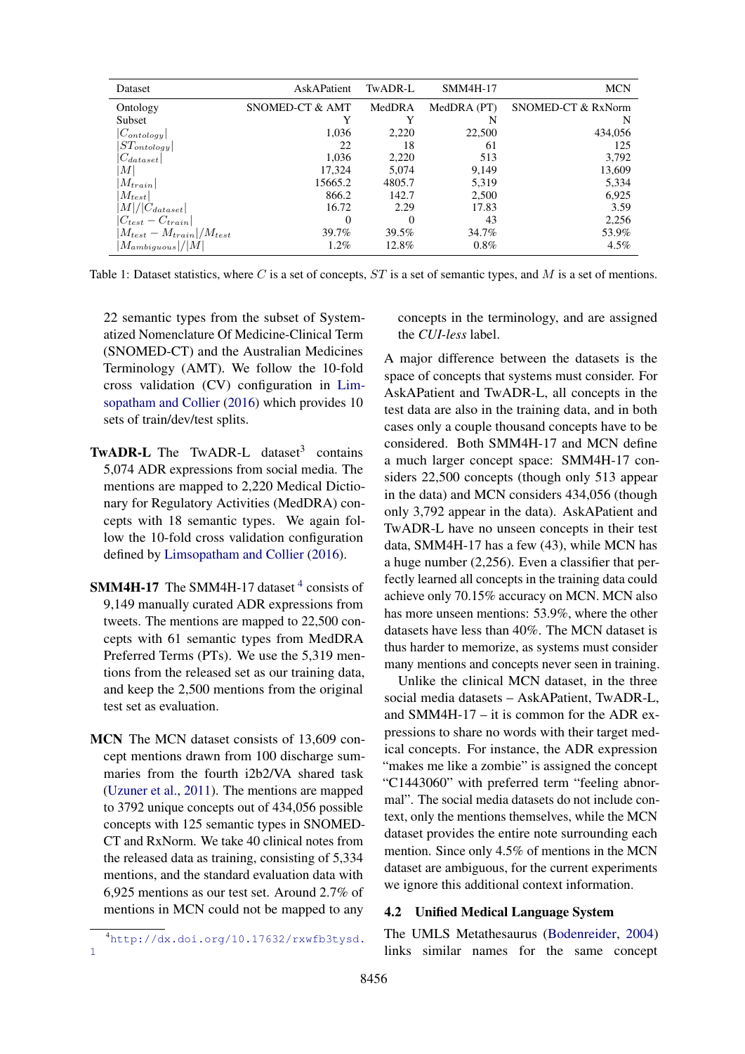<span id="page-4-0"></span>

| Dataset                            | AskAPatient     | TwADR-L | SMM4H-17    | <b>MCN</b>         |
|------------------------------------|-----------------|---------|-------------|--------------------|
| Ontology                           | SNOMED-CT & AMT | MedDRA  | MedDRA (PT) | SNOMED-CT & RxNorm |
| Subset                             |                 | Y       | N           | N                  |
| $ C_{ontology} $                   | 1.036           | 2.220   | 22,500      | 434.056            |
| $ ST_{ontology} $                  | 22              | 18      | 61          | 125                |
| $ C_{dataset} $                    | 1.036           | 2,220   | 513         | 3,792              |
| M                                  | 17.324          | 5.074   | 9.149       | 13,609             |
| $ M_{train} $                      | 15665.2         | 4805.7  | 5,319       | 5,334              |
| $ M_{test} $                       | 866.2           | 142.7   | 2,500       | 6,925              |
| $ M / C_{dataset} $                | 16.72           | 2.29    | 17.83       | 3.59               |
| $ C_{test} - C_{train} $           | 0               | 0       | 43          | 2,256              |
| $ M_{test} - M_{train} /M_{test} $ | 39.7%           | 39.5%   | 34.7%       | 53.9%              |
| $ M_{ambiguous} / M $              | $1.2\%$         | 12.8%   | $0.8\%$     | $4.5\%$            |

Table 1: Dataset statistics, where C is a set of concepts,  $ST$  is a set of semantic types, and M is a set of mentions.

22 semantic types from the subset of Systematized Nomenclature Of Medicine-Clinical Term (SNOMED-CT) and the Australian Medicines Terminology (AMT). We follow the 10-fold cross validation (CV) configuration in [Lim](#page-9-9)[sopatham and Collier](#page-9-9) [\(2016\)](#page-9-9) which provides 10 sets of train/dev/test splits.

- TwADR-L The TwADR-L dataset<sup>3</sup> contains 5,074 ADR expressions from social media. The mentions are mapped to 2,220 Medical Dictionary for Regulatory Activities (MedDRA) concepts with 18 semantic types. We again follow the 10-fold cross validation configuration defined by [Limsopatham and Collier](#page-9-9) [\(2016\)](#page-9-9).
- **SMM[4](#page-4-1)H-17** The SMM4H-17 dataset  $4$  consists of 9,149 manually curated ADR expressions from tweets. The mentions are mapped to 22,500 concepts with 61 semantic types from MedDRA Preferred Terms (PTs). We use the 5,319 mentions from the released set as our training data, and keep the 2,500 mentions from the original test set as evaluation.
- MCN The MCN dataset consists of 13,609 concept mentions drawn from 100 discharge summaries from the fourth i2b2/VA shared task [\(Uzuner et al.,](#page-10-12) [2011\)](#page-10-12). The mentions are mapped to 3792 unique concepts out of 434,056 possible concepts with 125 semantic types in SNOMED-CT and RxNorm. We take 40 clinical notes from the released data as training, consisting of 5,334 mentions, and the standard evaluation data with 6,925 mentions as our test set. Around 2.7% of mentions in MCN could not be mapped to any

concepts in the terminology, and are assigned the *CUI-less* label.

A major difference between the datasets is the space of concepts that systems must consider. For AskAPatient and TwADR-L, all concepts in the test data are also in the training data, and in both cases only a couple thousand concepts have to be considered. Both SMM4H-17 and MCN define a much larger concept space: SMM4H-17 considers 22,500 concepts (though only 513 appear in the data) and MCN considers 434,056 (though only 3,792 appear in the data). AskAPatient and TwADR-L have no unseen concepts in their test data, SMM4H-17 has a few (43), while MCN has a huge number (2,256). Even a classifier that perfectly learned all concepts in the training data could achieve only 70.15% accuracy on MCN. MCN also has more unseen mentions: 53.9%, where the other datasets have less than 40%. The MCN dataset is thus harder to memorize, as systems must consider many mentions and concepts never seen in training.

Unlike the clinical MCN dataset, in the three social media datasets – AskAPatient, TwADR-L, and SMM4H-17 – it is common for the ADR expressions to share no words with their target medical concepts. For instance, the ADR expression "makes me like a zombie" is assigned the concept "C1443060" with preferred term "feeling abnormal". The social media datasets do not include context, only the mentions themselves, while the MCN dataset provides the entire note surrounding each mention. Since only 4.5% of mentions in the MCN dataset are ambiguous, for the current experiments we ignore this additional context information.

# 4.2 Unified Medical Language System

The UMLS Metathesaurus [\(Bodenreider,](#page-8-5) [2004\)](#page-8-5) links similar names for the same concept

<span id="page-4-1"></span><sup>4</sup>[http://dx.doi.org/10.17632/rxwfb3tysd.](http://dx.doi.org/10.17632/rxwfb3tysd.1) [1](http://dx.doi.org/10.17632/rxwfb3tysd.1)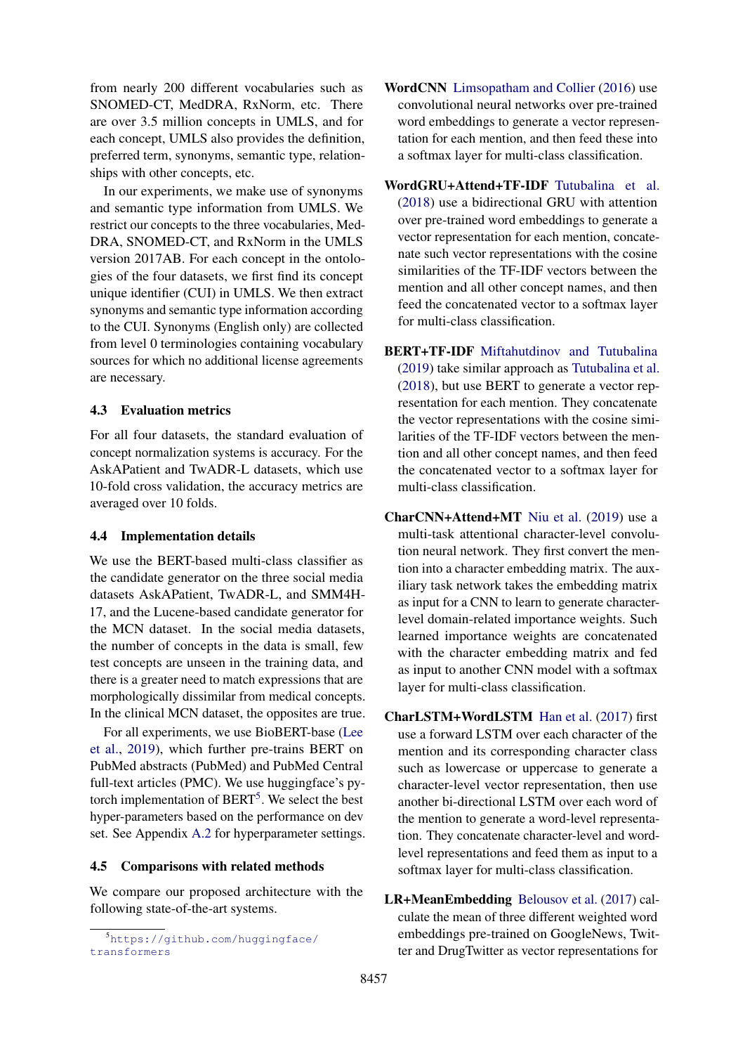from nearly 200 different vocabularies such as SNOMED-CT, MedDRA, RxNorm, etc. There are over 3.5 million concepts in UMLS, and for each concept, UMLS also provides the definition, preferred term, synonyms, semantic type, relationships with other concepts, etc.

In our experiments, we make use of synonyms and semantic type information from UMLS. We restrict our concepts to the three vocabularies, Med-DRA, SNOMED-CT, and RxNorm in the UMLS version 2017AB. For each concept in the ontologies of the four datasets, we first find its concept unique identifier (CUI) in UMLS. We then extract synonyms and semantic type information according to the CUI. Synonyms (English only) are collected from level 0 terminologies containing vocabulary sources for which no additional license agreements are necessary.

#### 4.3 Evaluation metrics

For all four datasets, the standard evaluation of concept normalization systems is accuracy. For the AskAPatient and TwADR-L datasets, which use 10-fold cross validation, the accuracy metrics are averaged over 10 folds.

#### 4.4 Implementation details

We use the BERT-based multi-class classifier as the candidate generator on the three social media datasets AskAPatient, TwADR-L, and SMM4H-17, and the Lucene-based candidate generator for the MCN dataset. In the social media datasets, the number of concepts in the data is small, few test concepts are unseen in the training data, and there is a greater need to match expressions that are morphologically dissimilar from medical concepts. In the clinical MCN dataset, the opposites are true.

For all experiments, we use BioBERT-base [\(Lee](#page-9-20) [et al.,](#page-9-20) [2019\)](#page-9-20), which further pre-trains BERT on PubMed abstracts (PubMed) and PubMed Central full-text articles (PMC). We use huggingface's pytorch implementation of  $BERT<sup>5</sup>$  $BERT<sup>5</sup>$  $BERT<sup>5</sup>$ . We select the best hyper-parameters based on the performance on dev set. See Appendix [A.2](#page-12-0) for hyperparameter settings.

#### 4.5 Comparisons with related methods

We compare our proposed architecture with the following state-of-the-art systems.

- WordCNN [Limsopatham and Collier](#page-9-9) [\(2016\)](#page-9-9) use convolutional neural networks over pre-trained word embeddings to generate a vector representation for each mention, and then feed these into a softmax layer for multi-class classification.
- WordGRU+Attend+TF-IDF [Tutubalina et al.](#page-10-5) [\(2018\)](#page-10-5) use a bidirectional GRU with attention over pre-trained word embeddings to generate a vector representation for each mention, concatenate such vector representations with the cosine similarities of the TF-IDF vectors between the mention and all other concept names, and then feed the concatenated vector to a softmax layer for multi-class classification.
- BERT+TF-IDF [Miftahutdinov and Tutubalina](#page-9-17) [\(2019\)](#page-9-17) take similar approach as [Tutubalina et al.](#page-10-5) [\(2018\)](#page-10-5), but use BERT to generate a vector representation for each mention. They concatenate the vector representations with the cosine similarities of the TF-IDF vectors between the mention and all other concept names, and then feed the concatenated vector to a softmax layer for multi-class classification.
- CharCNN+Attend+MT [Niu et al.](#page-10-6) [\(2019\)](#page-10-6) use a multi-task attentional character-level convolution neural network. They first convert the mention into a character embedding matrix. The auxiliary task network takes the embedding matrix as input for a CNN to learn to generate characterlevel domain-related importance weights. Such learned importance weights are concatenated with the character embedding matrix and fed as input to another CNN model with a softmax layer for multi-class classification.
- CharLSTM+WordLSTM [Han et al.](#page-9-21) [\(2017\)](#page-9-21) first use a forward LSTM over each character of the mention and its corresponding character class such as lowercase or uppercase to generate a character-level vector representation, then use another bi-directional LSTM over each word of the mention to generate a word-level representation. They concatenate character-level and wordlevel representations and feed them as input to a softmax layer for multi-class classification.
- LR+MeanEmbedding [Belousov et al.](#page-8-1) [\(2017\)](#page-8-1) calculate the mean of three different weighted word embeddings pre-trained on GoogleNews, Twitter and DrugTwitter as vector representations for

<span id="page-5-0"></span><sup>5</sup>[https://github.com/huggingface/](https://github.com/huggingface/transformers) [transformers](https://github.com/huggingface/transformers)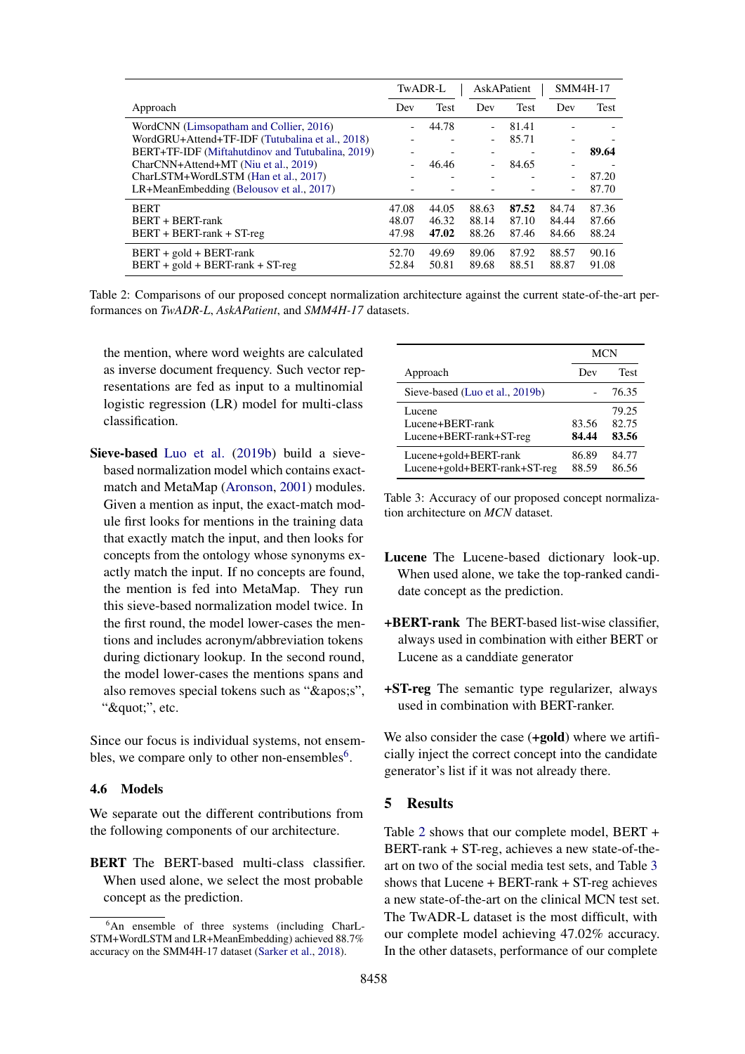<span id="page-6-1"></span>

|                                                  | TwADR-L                  |                          | AskAPatient              |             | <b>SMM4H-17</b>          |             |
|--------------------------------------------------|--------------------------|--------------------------|--------------------------|-------------|--------------------------|-------------|
| Approach                                         | Dev                      | <b>Test</b>              | Dev                      | <b>Test</b> | Dev                      | <b>Test</b> |
| WordCNN (Limsopatham and Collier, 2016)          |                          | 44.78                    | $\overline{a}$           | 81.41       |                          |             |
| WordGRU+Attend+TF-IDF (Tutubalina et al., 2018)  |                          |                          | -                        | 85.71       |                          |             |
| BERT+TF-IDF (Miftahutdinov and Tutubalina, 2019) | $\overline{\phantom{a}}$ | $\overline{\phantom{a}}$ | $\overline{\phantom{a}}$ |             | $\overline{\phantom{a}}$ | 89.64       |
| CharCNN+Attend+MT (Niu et al., 2019)             |                          | 46.46                    | $\overline{\phantom{a}}$ | 84.65       | $\overline{\phantom{0}}$ |             |
| CharLSTM+WordLSTM (Han et al., 2017)             |                          |                          |                          |             | ۰                        | 87.20       |
| LR+MeanEmbedding (Belousov et al., 2017)         |                          |                          |                          |             | $\overline{\phantom{0}}$ | 87.70       |
| <b>BERT</b>                                      | 47.08                    | 44.05                    | 88.63                    | 87.52       | 84.74                    | 87.36       |
| BERT + BERT-rank                                 | 48.07                    | 46.32                    | 88.14                    | 87.10       | 84.44                    | 87.66       |
| $BERT + BERT-rank + ST-reg$                      | 47.98                    | 47.02                    | 88.26                    | 87.46       | 84.66                    | 88.24       |
| $BERT + gold + BERT-rank$                        | 52.70                    | 49.69                    | 89.06                    | 87.92       | 88.57                    | 90.16       |
| $BERT + gold + BERT-rank + ST-reg$               | 52.84                    | 50.81                    | 89.68                    | 88.51       | 88.87                    | 91.08       |

Table 2: Comparisons of our proposed concept normalization architecture against the current state-of-the-art performances on *TwADR-L*, *AskAPatient*, and *SMM4H-17* datasets.

the mention, where word weights are calculated as inverse document frequency. Such vector representations are fed as input to a multinomial logistic regression (LR) model for multi-class classification.

Sieve-based [Luo et al.](#page-9-19) [\(2019b\)](#page-9-19) build a sievebased normalization model which contains exactmatch and MetaMap [\(Aronson,](#page-8-2) [2001\)](#page-8-2) modules. Given a mention as input, the exact-match module first looks for mentions in the training data that exactly match the input, and then looks for concepts from the ontology whose synonyms exactly match the input. If no concepts are found, the mention is fed into MetaMap. They run this sieve-based normalization model twice. In the first round, the model lower-cases the mentions and includes acronym/abbreviation tokens during dictionary lookup. In the second round, the model lower-cases the mentions spans and also removes special tokens such as "'s", """, etc.

Since our focus is individual systems, not ensembles, we compare only to other non-ensembles $<sup>6</sup>$  $<sup>6</sup>$  $<sup>6</sup>$ .</sup>

## 4.6 Models

We separate out the different contributions from the following components of our architecture.

BERT The BERT-based multi-class classifier. When used alone, we select the most probable concept as the prediction.

<span id="page-6-2"></span>

|                                                       | <b>MCN</b>     |                         |  |
|-------------------------------------------------------|----------------|-------------------------|--|
| Approach                                              | Dev            | Test                    |  |
| Sieve-based (Luo et al., 2019b)                       |                | 76.35                   |  |
| Lucene<br>Lucene+BERT-rank<br>Lucene+BERT-rank+ST-reg | 83.56<br>84.44 | 79.25<br>82.75<br>83.56 |  |
| Lucene+gold+BERT-rank<br>Lucene+gold+BERT-rank+ST-reg | 86.89<br>88.59 | 84.77<br>86.56          |  |

Table 3: Accuracy of our proposed concept normalization architecture on *MCN* dataset.

- Lucene The Lucene-based dictionary look-up. When used alone, we take the top-ranked candidate concept as the prediction.
- +BERT-rank The BERT-based list-wise classifier, always used in combination with either BERT or Lucene as a canddiate generator
- +ST-reg The semantic type regularizer, always used in combination with BERT-ranker.

We also consider the case (+gold) where we artificially inject the correct concept into the candidate generator's list if it was not already there.

# 5 Results

Table [2](#page-6-1) shows that our complete model, BERT + BERT-rank + ST-reg, achieves a new state-of-theart on two of the social media test sets, and Table [3](#page-6-2) shows that Lucene + BERT-rank + ST-reg achieves a new state-of-the-art on the clinical MCN test set. The TwADR-L dataset is the most difficult, with our complete model achieving 47.02% accuracy. In the other datasets, performance of our complete

<span id="page-6-0"></span><sup>&</sup>lt;sup>6</sup>An ensemble of three systems (including CharL-STM+WordLSTM and LR+MeanEmbedding) achieved 88.7% accuracy on the SMM4H-17 dataset [\(Sarker et al.,](#page-10-3) [2018\)](#page-10-3).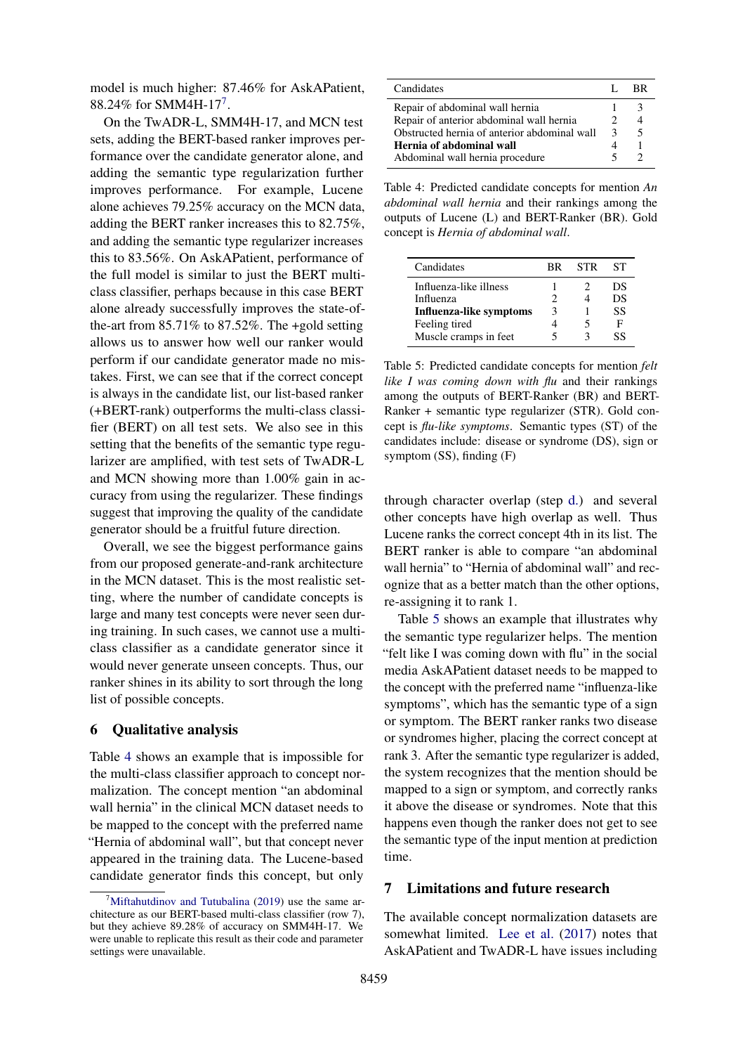model is much higher: 87.46% for AskAPatient, 88.24% for SMM4H-1[7](#page-7-0)<sup>7</sup>.

On the TwADR-L, SMM4H-17, and MCN test sets, adding the BERT-based ranker improves performance over the candidate generator alone, and adding the semantic type regularization further improves performance. For example, Lucene alone achieves 79.25% accuracy on the MCN data, adding the BERT ranker increases this to 82.75%, and adding the semantic type regularizer increases this to 83.56%. On AskAPatient, performance of the full model is similar to just the BERT multiclass classifier, perhaps because in this case BERT alone already successfully improves the state-ofthe-art from  $85.71\%$  to  $87.52\%$ . The +gold setting allows us to answer how well our ranker would perform if our candidate generator made no mistakes. First, we can see that if the correct concept is always in the candidate list, our list-based ranker (+BERT-rank) outperforms the multi-class classifier (BERT) on all test sets. We also see in this setting that the benefits of the semantic type regularizer are amplified, with test sets of TwADR-L and MCN showing more than 1.00% gain in accuracy from using the regularizer. These findings suggest that improving the quality of the candidate generator should be a fruitful future direction.

Overall, we see the biggest performance gains from our proposed generate-and-rank architecture in the MCN dataset. This is the most realistic setting, where the number of candidate concepts is large and many test concepts were never seen during training. In such cases, we cannot use a multiclass classifier as a candidate generator since it would never generate unseen concepts. Thus, our ranker shines in its ability to sort through the long list of possible concepts.

## 6 Qualitative analysis

Table [4](#page-7-1) shows an example that is impossible for the multi-class classifier approach to concept normalization. The concept mention "an abdominal wall hernia" in the clinical MCN dataset needs to be mapped to the concept with the preferred name "Hernia of abdominal wall", but that concept never appeared in the training data. The Lucene-based candidate generator finds this concept, but only

<span id="page-7-1"></span>

| Candidates                                   |  | RR. |
|----------------------------------------------|--|-----|
| Repair of abdominal wall hernia              |  |     |
| Repair of anterior abdominal wall hernia     |  |     |
| Obstructed hernia of anterior abdominal wall |  | 5   |
| Hernia of abdominal wall                     |  |     |
| Abdominal wall hernia procedure              |  |     |

Table 4: Predicted candidate concepts for mention *An abdominal wall hernia* and their rankings among the outputs of Lucene (L) and BERT-Ranker (BR). Gold concept is *Hernia of abdominal wall*.

<span id="page-7-2"></span>

| Candidates                     | RR. | <b>STR</b> | SТ |
|--------------------------------|-----|------------|----|
| Influenza-like illness         |     |            | DS |
| Influenza                      |     |            | DS |
| <b>Influenza-like symptoms</b> |     |            | SS |
| Feeling tired                  |     |            | F  |
| Muscle cramps in feet          |     |            | SS |

Table 5: Predicted candidate concepts for mention *felt like I was coming down with flu* and their rankings among the outputs of BERT-Ranker (BR) and BERT-Ranker + semantic type regularizer (STR). Gold concept is *flu-like symptoms*. Semantic types (ST) of the candidates include: disease or syndrome (DS), sign or symptom (SS), finding (F)

through character overlap (step [d.\)](#page-3-2) and several other concepts have high overlap as well. Thus Lucene ranks the correct concept 4th in its list. The BERT ranker is able to compare "an abdominal wall hernia" to "Hernia of abdominal wall" and recognize that as a better match than the other options, re-assigning it to rank 1.

Table [5](#page-7-2) shows an example that illustrates why the semantic type regularizer helps. The mention "felt like I was coming down with flu" in the social media AskAPatient dataset needs to be mapped to the concept with the preferred name "influenza-like symptoms", which has the semantic type of a sign or symptom. The BERT ranker ranks two disease or syndromes higher, placing the correct concept at rank 3. After the semantic type regularizer is added, the system recognizes that the mention should be mapped to a sign or symptom, and correctly ranks it above the disease or syndromes. Note that this happens even though the ranker does not get to see the semantic type of the input mention at prediction time.

## 7 Limitations and future research

The available concept normalization datasets are somewhat limited. [Lee et al.](#page-9-11) [\(2017\)](#page-9-11) notes that AskAPatient and TwADR-L have issues including

<span id="page-7-0"></span><sup>&</sup>lt;sup>7</sup>[Miftahutdinov and Tutubalina](#page-9-17) [\(2019\)](#page-9-17) use the same architecture as our BERT-based multi-class classifier (row 7), but they achieve 89.28% of accuracy on SMM4H-17. We were unable to replicate this result as their code and parameter settings were unavailable.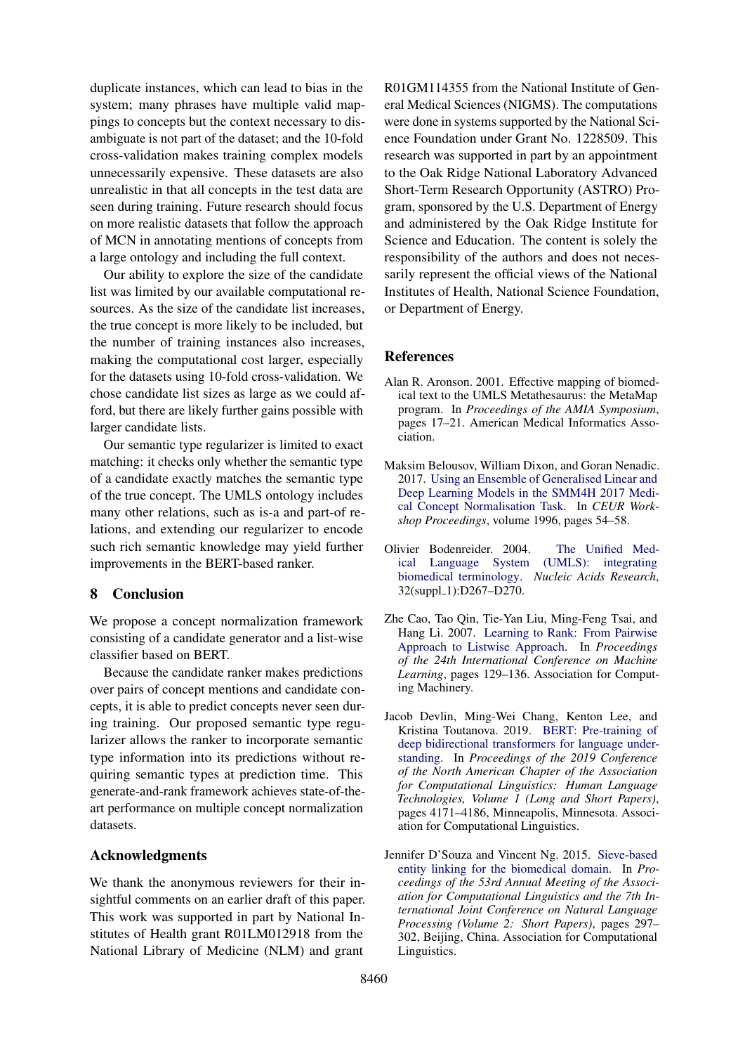duplicate instances, which can lead to bias in the system; many phrases have multiple valid mappings to concepts but the context necessary to disambiguate is not part of the dataset; and the 10-fold cross-validation makes training complex models unnecessarily expensive. These datasets are also unrealistic in that all concepts in the test data are seen during training. Future research should focus on more realistic datasets that follow the approach of MCN in annotating mentions of concepts from a large ontology and including the full context.

Our ability to explore the size of the candidate list was limited by our available computational resources. As the size of the candidate list increases, the true concept is more likely to be included, but the number of training instances also increases, making the computational cost larger, especially for the datasets using 10-fold cross-validation. We chose candidate list sizes as large as we could afford, but there are likely further gains possible with larger candidate lists.

Our semantic type regularizer is limited to exact matching: it checks only whether the semantic type of a candidate exactly matches the semantic type of the true concept. The UMLS ontology includes many other relations, such as is-a and part-of relations, and extending our regularizer to encode such rich semantic knowledge may yield further improvements in the BERT-based ranker.

# 8 Conclusion

We propose a concept normalization framework consisting of a candidate generator and a list-wise classifier based on BERT.

Because the candidate ranker makes predictions over pairs of concept mentions and candidate concepts, it is able to predict concepts never seen during training. Our proposed semantic type regularizer allows the ranker to incorporate semantic type information into its predictions without requiring semantic types at prediction time. This generate-and-rank framework achieves state-of-theart performance on multiple concept normalization datasets.

## Acknowledgments

We thank the anonymous reviewers for their insightful comments on an earlier draft of this paper. This work was supported in part by National Institutes of Health grant R01LM012918 from the National Library of Medicine (NLM) and grant

R01GM114355 from the National Institute of General Medical Sciences (NIGMS). The computations were done in systems supported by the National Science Foundation under Grant No. 1228509. This research was supported in part by an appointment to the Oak Ridge National Laboratory Advanced Short-Term Research Opportunity (ASTRO) Program, sponsored by the U.S. Department of Energy and administered by the Oak Ridge Institute for Science and Education. The content is solely the responsibility of the authors and does not necessarily represent the official views of the National Institutes of Health, National Science Foundation, or Department of Energy.

## **References**

- <span id="page-8-2"></span>Alan R. Aronson. 2001. Effective mapping of biomedical text to the UMLS Metathesaurus: the MetaMap program. In *Proceedings of the AMIA Symposium*, pages 17–21. American Medical Informatics Association.
- <span id="page-8-1"></span>Maksim Belousov, William Dixon, and Goran Nenadic. 2017. [Using an Ensemble of Generalised Linear and](http://ceur-ws.org/Vol-1996/paper10.pdf) [Deep Learning Models in the SMM4H 2017 Medi](http://ceur-ws.org/Vol-1996/paper10.pdf)[cal Concept Normalisation Task.](http://ceur-ws.org/Vol-1996/paper10.pdf) In *CEUR Workshop Proceedings*, volume 1996, pages 54–58.
- <span id="page-8-5"></span>Olivier Bodenreider. 2004. [The Unified Med](https://doi.org/10.1093/nar/gkh061)[ical Language System \(UMLS\): integrating](https://doi.org/10.1093/nar/gkh061) [biomedical terminology.](https://doi.org/10.1093/nar/gkh061) *Nucleic Acids Research*, 32(suppl\_1):D267-D270.
- <span id="page-8-3"></span>Zhe Cao, Tao Qin, Tie-Yan Liu, Ming-Feng Tsai, and Hang Li. 2007. [Learning to Rank: From Pairwise](https://doi.org/10.1145/1273496.1273513) [Approach to Listwise Approach.](https://doi.org/10.1145/1273496.1273513) In *Proceedings of the 24th International Conference on Machine Learning*, pages 129–136. Association for Computing Machinery.
- <span id="page-8-4"></span>Jacob Devlin, Ming-Wei Chang, Kenton Lee, and Kristina Toutanova. 2019. [BERT: Pre-training of](https://doi.org/10.18653/v1/N19-1423) [deep bidirectional transformers for language under](https://doi.org/10.18653/v1/N19-1423)[standing.](https://doi.org/10.18653/v1/N19-1423) In *Proceedings of the 2019 Conference of the North American Chapter of the Association for Computational Linguistics: Human Language Technologies, Volume 1 (Long and Short Papers)*, pages 4171–4186, Minneapolis, Minnesota. Association for Computational Linguistics.
- <span id="page-8-0"></span>Jennifer D'Souza and Vincent Ng. 2015. [Sieve-based](https://doi.org/10.3115/v1/P15-2049) [entity linking for the biomedical domain.](https://doi.org/10.3115/v1/P15-2049) In *Proceedings of the 53rd Annual Meeting of the Association for Computational Linguistics and the 7th International Joint Conference on Natural Language Processing (Volume 2: Short Papers)*, pages 297– 302, Beijing, China. Association for Computational Linguistics.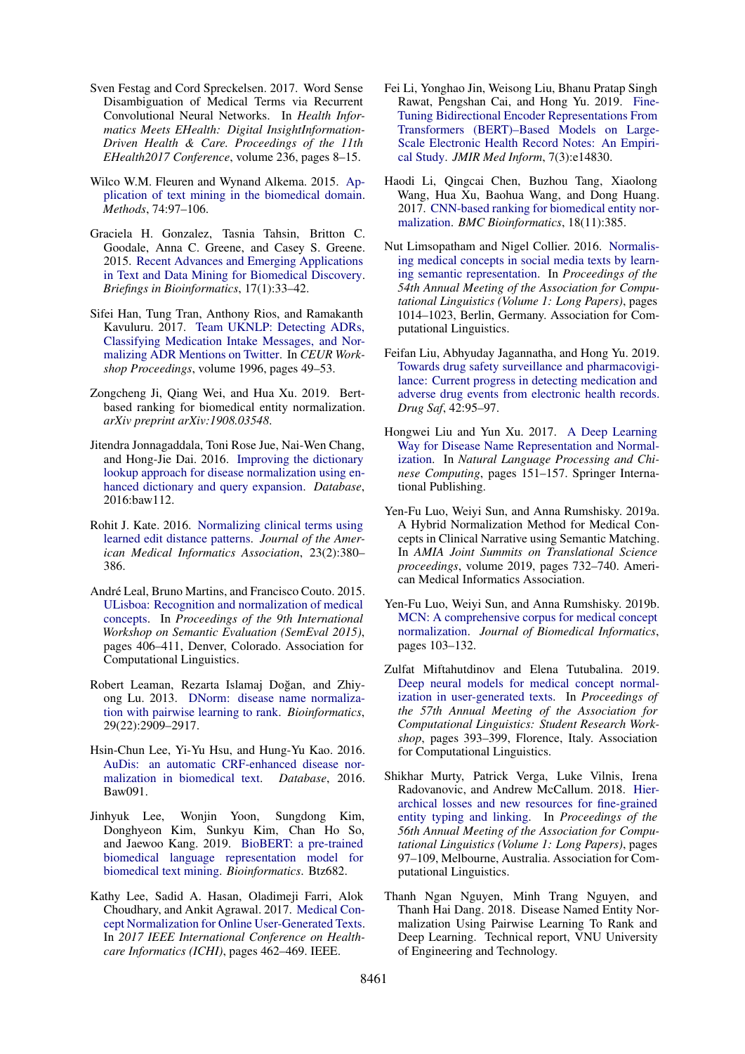- <span id="page-9-10"></span>Sven Festag and Cord Spreckelsen. 2017. Word Sense Disambiguation of Medical Terms via Recurrent Convolutional Neural Networks. In *Health Informatics Meets EHealth: Digital InsightInformation-Driven Health & Care. Proceedings of the 11th EHealth2017 Conference*, volume 236, pages 8–15.
- <span id="page-9-1"></span>Wilco W.M. Fleuren and Wynand Alkema. 2015. [Ap](https://doi.org/10.1016/j.ymeth.2015.01.015)[plication of text mining in the biomedical domain.](https://doi.org/10.1016/j.ymeth.2015.01.015) *Methods*, 74:97–106.
- <span id="page-9-0"></span>Graciela H. Gonzalez, Tasnia Tahsin, Britton C. Goodale, Anna C. Greene, and Casey S. Greene. 2015. [Recent Advances and Emerging Applications](https://doi.org/10.1093/bib/bbv087) [in Text and Data Mining for Biomedical Discovery.](https://doi.org/10.1093/bib/bbv087) *Briefings in Bioinformatics*, 17(1):33–42.
- <span id="page-9-21"></span>Sifei Han, Tung Tran, Anthony Rios, and Ramakanth Kavuluru. 2017. [Team UKNLP: Detecting ADRs,](http://ceur-ws.org/Vol-1996/paper9.pdf) [Classifying Medication Intake Messages, and Nor](http://ceur-ws.org/Vol-1996/paper9.pdf)[malizing ADR Mentions on Twitter.](http://ceur-ws.org/Vol-1996/paper9.pdf) In *CEUR Workshop Proceedings*, volume 1996, pages 49–53.
- <span id="page-9-18"></span>Zongcheng Ji, Qiang Wei, and Hua Xu. 2019. Bertbased ranking for biomedical entity normalization. *arXiv preprint arXiv:1908.03548*.
- <span id="page-9-8"></span>Jitendra Jonnagaddala, Toni Rose Jue, Nai-Wen Chang, and Hong-Jie Dai. 2016. [Improving the dictionary](https://doi.org/10.1093/database/baw112) [lookup approach for disease normalization using en](https://doi.org/10.1093/database/baw112)[hanced dictionary and query expansion.](https://doi.org/10.1093/database/baw112) *Database*, 2016:baw112.
- <span id="page-9-7"></span>Rohit J. Kate. 2016. [Normalizing clinical terms using](https://doi.org/10.1093/jamia/ocv108) [learned edit distance patterns.](https://doi.org/10.1093/jamia/ocv108) *Journal of the American Medical Informatics Association*, 23(2):380– 386.
- <span id="page-9-3"></span>André Leal, Bruno Martins, and Francisco Couto, 2015. [ULisboa: Recognition and normalization of medical](https://doi.org/10.18653/v1/S15-2070) [concepts.](https://doi.org/10.18653/v1/S15-2070) In *Proceedings of the 9th International Workshop on Semantic Evaluation (SemEval 2015)*, pages 406–411, Denver, Colorado. Association for Computational Linguistics.
- <span id="page-9-12"></span>Robert Leaman, Rezarta Islamaj Doğan, and Zhiyong Lu. 2013. [DNorm: disease name normaliza](https://doi.org/10.1093/bioinformatics/btt474)[tion with pairwise learning to rank.](https://doi.org/10.1093/bioinformatics/btt474) *Bioinformatics*, 29(22):2909–2917.
- <span id="page-9-4"></span>Hsin-Chun Lee, Yi-Yu Hsu, and Hung-Yu Kao. 2016. [AuDis: an automatic CRF-enhanced disease nor](https://doi.org/10.1093/database/baw091)[malization in biomedical text.](https://doi.org/10.1093/database/baw091) *Database*, 2016. Baw091.
- <span id="page-9-20"></span>Jinhyuk Lee, Wonjin Yoon, Sungdong Kim, Donghyeon Kim, Sunkyu Kim, Chan Ho So, and Jaewoo Kang. 2019. [BioBERT: a pre-trained](https://doi.org/10.1093/bioinformatics/btz682) [biomedical language representation model for](https://doi.org/10.1093/bioinformatics/btz682) [biomedical text mining.](https://doi.org/10.1093/bioinformatics/btz682) *Bioinformatics*. Btz682.
- <span id="page-9-11"></span>Kathy Lee, Sadid A. Hasan, Oladimeji Farri, Alok Choudhary, and Ankit Agrawal. 2017. [Medical Con](https://doi.org/10.1109/ICHI.2017.59)[cept Normalization for Online User-Generated Texts.](https://doi.org/10.1109/ICHI.2017.59) In *2017 IEEE International Conference on Healthcare Informatics (ICHI)*, pages 462–469. IEEE.
- <span id="page-9-16"></span>Fei Li, Yonghao Jin, Weisong Liu, Bhanu Pratap Singh Rawat, Pengshan Cai, and Hong Yu. 2019. [Fine-](https://doi.org/10.2196/14830)[Tuning Bidirectional Encoder Representations From](https://doi.org/10.2196/14830) [Transformers \(BERT\)–Based Models on Large-](https://doi.org/10.2196/14830)[Scale Electronic Health Record Notes: An Empiri](https://doi.org/10.2196/14830)[cal Study.](https://doi.org/10.2196/14830) *JMIR Med Inform*, 7(3):e14830.
- <span id="page-9-14"></span>Haodi Li, Qingcai Chen, Buzhou Tang, Xiaolong Wang, Hua Xu, Baohua Wang, and Dong Huang. 2017. [CNN-based ranking for biomedical entity nor](https://doi.org/10.1186/s12859-017-1805-7)[malization.](https://doi.org/10.1186/s12859-017-1805-7) *BMC Bioinformatics*, 18(11):385.
- <span id="page-9-9"></span>Nut Limsopatham and Nigel Collier. 2016. [Normalis](https://doi.org/10.18653/v1/P16-1096)[ing medical concepts in social media texts by learn](https://doi.org/10.18653/v1/P16-1096)[ing semantic representation.](https://doi.org/10.18653/v1/P16-1096) In *Proceedings of the 54th Annual Meeting of the Association for Computational Linguistics (Volume 1: Long Papers)*, pages 1014–1023, Berlin, Germany. Association for Computational Linguistics.
- <span id="page-9-2"></span>Feifan Liu, Abhyuday Jagannatha, and Hong Yu. 2019. [Towards drug safety surveillance and pharmacovigi](https://doi.org/10.1007/s40264-018-0766-8)[lance: Current progress in detecting medication and](https://doi.org/10.1007/s40264-018-0766-8) [adverse drug events from electronic health records.](https://doi.org/10.1007/s40264-018-0766-8) *Drug Saf*, 42:95–97.
- <span id="page-9-13"></span>Hongwei Liu and Yun Xu. 2017. [A Deep Learning](https://doi.org/10.1007/978-3-319-73618-1_13) [Way for Disease Name Representation and Normal](https://doi.org/10.1007/978-3-319-73618-1_13)[ization.](https://doi.org/10.1007/978-3-319-73618-1_13) In *Natural Language Processing and Chinese Computing*, pages 151–157. Springer International Publishing.
- <span id="page-9-5"></span>Yen-Fu Luo, Weiyi Sun, and Anna Rumshisky. 2019a. A Hybrid Normalization Method for Medical Concepts in Clinical Narrative using Semantic Matching. In *AMIA Joint Summits on Translational Science proceedings*, volume 2019, pages 732–740. American Medical Informatics Association.
- <span id="page-9-19"></span>Yen-Fu Luo, Weiyi Sun, and Anna Rumshisky. 2019b. [MCN: A comprehensive corpus for medical concept](https://doi.org/10.1016/j.jbi.2019.103132) [normalization.](https://doi.org/10.1016/j.jbi.2019.103132) *Journal of Biomedical Informatics*, pages 103–132.
- <span id="page-9-17"></span>Zulfat Miftahutdinov and Elena Tutubalina. 2019. [Deep neural models for medical concept normal](https://doi.org/10.18653/v1/P19-2055)[ization in user-generated texts.](https://doi.org/10.18653/v1/P19-2055) In *Proceedings of the 57th Annual Meeting of the Association for Computational Linguistics: Student Research Workshop*, pages 393–399, Florence, Italy. Association for Computational Linguistics.
- <span id="page-9-6"></span>Shikhar Murty, Patrick Verga, Luke Vilnis, Irena Radovanovic, and Andrew McCallum. 2018. [Hier](https://doi.org/10.18653/v1/P18-1010)[archical losses and new resources for fine-grained](https://doi.org/10.18653/v1/P18-1010) [entity typing and linking.](https://doi.org/10.18653/v1/P18-1010) In *Proceedings of the 56th Annual Meeting of the Association for Computational Linguistics (Volume 1: Long Papers)*, pages 97–109, Melbourne, Australia. Association for Computational Linguistics.
- <span id="page-9-15"></span>Thanh Ngan Nguyen, Minh Trang Nguyen, and Thanh Hai Dang. 2018. Disease Named Entity Normalization Using Pairwise Learning To Rank and Deep Learning. Technical report, VNU University of Engineering and Technology.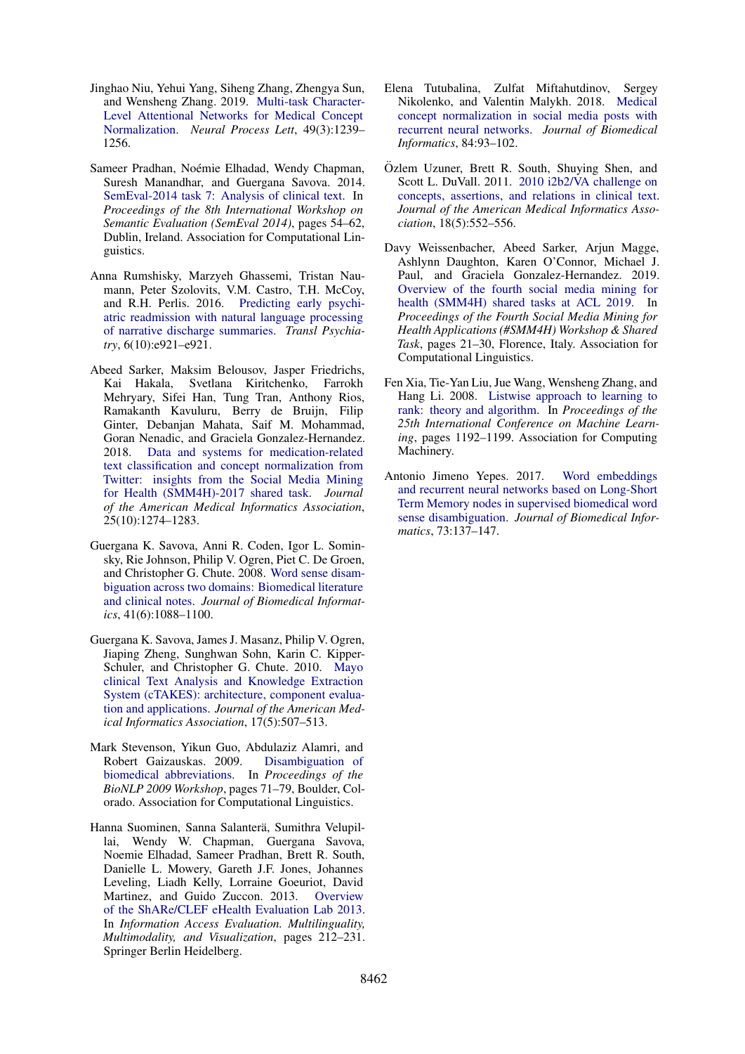- <span id="page-10-6"></span>Jinghao Niu, Yehui Yang, Siheng Zhang, Zhengya Sun, and Wensheng Zhang. 2019. [Multi-task Character-](https://doi.org/10.1007/s11063-018-9873-x)[Level Attentional Networks for Medical Concept](https://doi.org/10.1007/s11063-018-9873-x) [Normalization.](https://doi.org/10.1007/s11063-018-9873-x) *Neural Process Lett*, 49(3):1239– 1256.
- <span id="page-10-2"></span>Sameer Pradhan, Noémie Elhadad, Wendy Chapman, Suresh Manandhar, and Guergana Savova. 2014. [SemEval-2014 task 7: Analysis of clinical text.](https://doi.org/10.3115/v1/S14-2007) In *Proceedings of the 8th International Workshop on Semantic Evaluation (SemEval 2014)*, pages 54–62, Dublin, Ireland. Association for Computational Linguistics.
- <span id="page-10-0"></span>Anna Rumshisky, Marzyeh Ghassemi, Tristan Naumann, Peter Szolovits, V.M. Castro, T.H. McCoy, and R.H. Perlis. 2016. [Predicting early psychi](https://doi.org/10.1038/tp.2015.182)[atric readmission with natural language processing](https://doi.org/10.1038/tp.2015.182) [of narrative discharge summaries.](https://doi.org/10.1038/tp.2015.182) *Transl Psychiatry*, 6(10):e921–e921.
- <span id="page-10-3"></span>Abeed Sarker, Maksim Belousov, Jasper Friedrichs, Kai Hakala, Svetlana Kiritchenko, Farrokh Mehryary, Sifei Han, Tung Tran, Anthony Rios, Ramakanth Kavuluru, Berry de Bruijn, Filip Ginter, Debanjan Mahata, Saif M. Mohammad, Goran Nenadic, and Graciela Gonzalez-Hernandez. 2018. [Data and systems for medication-related](https://doi.org/10.1093/jamia/ocy114) [text classification and concept normalization from](https://doi.org/10.1093/jamia/ocy114) [Twitter: insights from the Social Media Mining](https://doi.org/10.1093/jamia/ocy114) [for Health \(SMM4H\)-2017 shared task.](https://doi.org/10.1093/jamia/ocy114) *Journal of the American Medical Informatics Association*, 25(10):1274–1283.
- <span id="page-10-8"></span>Guergana K. Savova, Anni R. Coden, Igor L. Sominsky, Rie Johnson, Philip V. Ogren, Piet C. De Groen, and Christopher G. Chute. 2008. [Word sense disam](https://doi.org/10.1016/j.jbi.2008.02.003)[biguation across two domains: Biomedical literature](https://doi.org/10.1016/j.jbi.2008.02.003) [and clinical notes.](https://doi.org/10.1016/j.jbi.2008.02.003) *Journal of Biomedical Informatics*, 41(6):1088–1100.
- <span id="page-10-7"></span>Guergana K. Savova, James J. Masanz, Philip V. Ogren, Jiaping Zheng, Sunghwan Sohn, Karin C. Kipper-Schuler, and Christopher G. Chute. 2010. [Mayo](https://doi.org/10.1136/jamia.2009.001560) [clinical Text Analysis and Knowledge Extraction](https://doi.org/10.1136/jamia.2009.001560) [System \(cTAKES\): architecture, component evalua](https://doi.org/10.1136/jamia.2009.001560)[tion and applications.](https://doi.org/10.1136/jamia.2009.001560) *Journal of the American Medical Informatics Association*, 17(5):507–513.
- <span id="page-10-9"></span>Mark Stevenson, Yikun Guo, Abdulaziz Alamri, and Robert Gaizauskas. 2009. [Disambiguation of](https://www.aclweb.org/anthology/W09-1309) [biomedical abbreviations.](https://www.aclweb.org/anthology/W09-1309) In *Proceedings of the BioNLP 2009 Workshop*, pages 71–79, Boulder, Colorado. Association for Computational Linguistics.
- <span id="page-10-1"></span>Hanna Suominen, Sanna Salanterä, Sumithra Velupillai, Wendy W. Chapman, Guergana Savova, Noemie Elhadad, Sameer Pradhan, Brett R. South, Danielle L. Mowery, Gareth J.F. Jones, Johannes Leveling, Liadh Kelly, Lorraine Goeuriot, David Martinez, and Guido Zuccon. 2013. [Overview](https://doi.org/10.1007/978-3-642-40802-1_24) [of the ShARe/CLEF eHealth Evaluation Lab 2013.](https://doi.org/10.1007/978-3-642-40802-1_24) In *Information Access Evaluation. Multilinguality, Multimodality, and Visualization*, pages 212–231. Springer Berlin Heidelberg.
- <span id="page-10-5"></span>Elena Tutubalina, Zulfat Miftahutdinov, Sergey Nikolenko, and Valentin Malykh. 2018. [Medical](https://doi.org/10.1016/j.jbi.2018.06.006) [concept normalization in social media posts with](https://doi.org/10.1016/j.jbi.2018.06.006) [recurrent neural networks.](https://doi.org/10.1016/j.jbi.2018.06.006) *Journal of Biomedical Informatics*, 84:93–102.
- <span id="page-10-12"></span>Ozlem Uzuner, Brett R. South, Shuying Shen, and ¨ Scott L. DuVall. 2011. [2010 i2b2/VA challenge on](https://doi.org/10.1136/amiajnl-2011-000203) [concepts, assertions, and relations in clinical text.](https://doi.org/10.1136/amiajnl-2011-000203) *Journal of the American Medical Informatics Association*, 18(5):552–556.
- <span id="page-10-4"></span>Davy Weissenbacher, Abeed Sarker, Arjun Magge, Ashlynn Daughton, Karen O'Connor, Michael J. Paul, and Graciela Gonzalez-Hernandez. 2019. [Overview of the fourth social media mining for](https://doi.org/10.18653/v1/W19-3203) [health \(SMM4H\) shared tasks at ACL 2019.](https://doi.org/10.18653/v1/W19-3203) In *Proceedings of the Fourth Social Media Mining for Health Applications (#SMM4H) Workshop & Shared Task*, pages 21–30, Florence, Italy. Association for Computational Linguistics.
- <span id="page-10-11"></span>Fen Xia, Tie-Yan Liu, Jue Wang, Wensheng Zhang, and Hang Li. 2008. [Listwise approach to learning to](https://doi.org/10.1145/1390156.1390306) [rank: theory and algorithm.](https://doi.org/10.1145/1390156.1390306) In *Proceedings of the 25th International Conference on Machine Learning*, pages 1192–1199. Association for Computing Machinery.
- <span id="page-10-10"></span>Antonio Jimeno Yepes. 2017. [Word embeddings](https://doi.org/10.1016/j.jbi.2017.08.001) [and recurrent neural networks based on Long-Short](https://doi.org/10.1016/j.jbi.2017.08.001) [Term Memory nodes in supervised biomedical word](https://doi.org/10.1016/j.jbi.2017.08.001) [sense disambiguation.](https://doi.org/10.1016/j.jbi.2017.08.001) *Journal of Biomedical Informatics*, 73:137–147.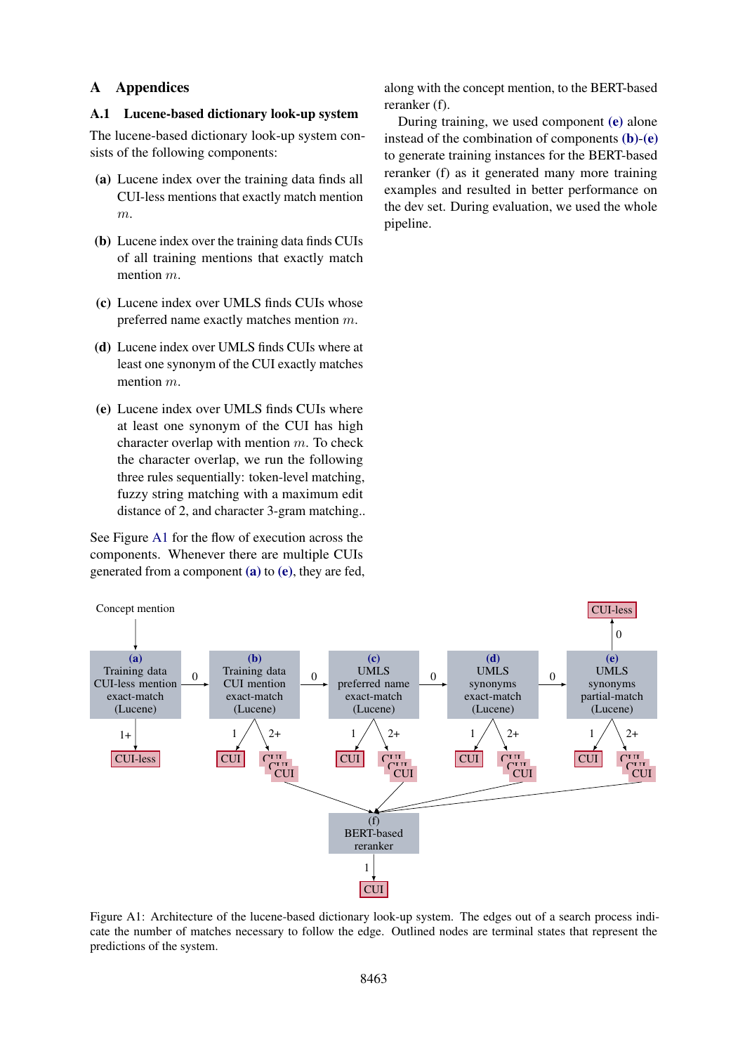## A Appendices

#### <span id="page-11-0"></span>A.1 Lucene-based dictionary look-up system

The lucene-based dictionary look-up system consists of the following components:

- <span id="page-11-2"></span>(a) Lucene index over the training data finds all CUI-less mentions that exactly match mention  $m$ .
- <span id="page-11-4"></span>(b) Lucene index over the training data finds CUIs of all training mentions that exactly match mention  $m$ .
- <span id="page-11-5"></span>(c) Lucene index over UMLS finds CUIs whose preferred name exactly matches mention m.
- <span id="page-11-6"></span>(d) Lucene index over UMLS finds CUIs where at least one synonym of the CUI exactly matches mention m.
- <span id="page-11-3"></span>(e) Lucene index over UMLS finds CUIs where at least one synonym of the CUI has high character overlap with mention  $m$ . To check the character overlap, we run the following three rules sequentially: token-level matching, fuzzy string matching with a maximum edit distance of 2, and character 3-gram matching..

See Figure [A1](#page-11-1) for the flow of execution across the components. Whenever there are multiple CUIs generated from a component [\(a\)](#page-11-2) to [\(e\)](#page-11-3), they are fed,

along with the concept mention, to the BERT-based reranker (f).

During training, we used component [\(e\)](#page-11-3) alone instead of the combination of components [\(b\)](#page-11-4)-[\(e\)](#page-11-3) to generate training instances for the BERT-based reranker (f) as it generated many more training examples and resulted in better performance on the dev set. During evaluation, we used the whole pipeline.

<span id="page-11-1"></span>

Figure A1: Architecture of the lucene-based dictionary look-up system. The edges out of a search process indicate the number of matches necessary to follow the edge. Outlined nodes are terminal states that represent the predictions of the system.